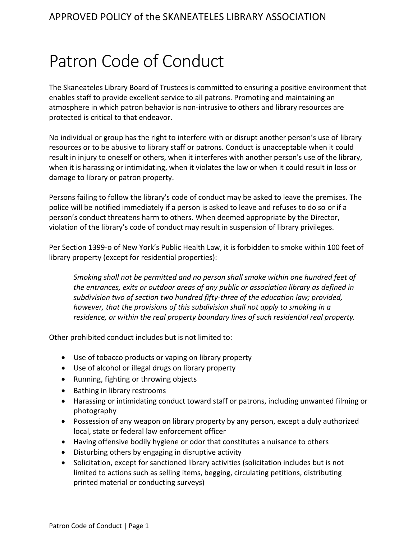## Patron Code of Conduct

The Skaneateles Library Board of Trustees is committed to ensuring a positive environment that enables staff to provide excellent service to all patrons. Promoting and maintaining an atmosphere in which patron behavior is non-intrusive to others and library resources are protected is critical to that endeavor.

No individual or group has the right to interfere with or disrupt another person's use of library resources or to be abusive to library staff or patrons. Conduct is unacceptable when it could result in injury to oneself or others, when it interferes with another person's use of the library, when it is harassing or intimidating, when it violates the law or when it could result in loss or damage to library or patron property.

Persons failing to follow the library's code of conduct may be asked to leave the premises. The police will be notified immediately if a person is asked to leave and refuses to do so or if a person's conduct threatens harm to others. When deemed appropriate by the Director, violation of the library's code of conduct may result in suspension of library privileges.

Per Section 1399-o of New York's Public Health Law, it is forbidden to smoke within 100 feet of library property (except for residential properties):

*Smoking shall not be permitted and no person shall smoke within one hundred feet of the entrances, exits or outdoor areas of any public or association library as defined in subdivision two of section two hundred fifty-three of the education law; provided, however, that the provisions of this subdivision shall not apply to smoking in a residence, or within the real property boundary lines of such residential real property.*

Other prohibited conduct includes but is not limited to:

- Use of tobacco products or vaping on library property
- Use of alcohol or illegal drugs on library property
- Running, fighting or throwing objects
- Bathing in library restrooms
- Harassing or intimidating conduct toward staff or patrons, including unwanted filming or photography
- Possession of any weapon on library property by any person, except a duly authorized local, state or federal law enforcement officer
- Having offensive bodily hygiene or odor that constitutes a nuisance to others
- Disturbing others by engaging in disruptive activity
- Solicitation, except for sanctioned library activities (solicitation includes but is not limited to actions such as selling items, begging, circulating petitions, distributing printed material or conducting surveys)